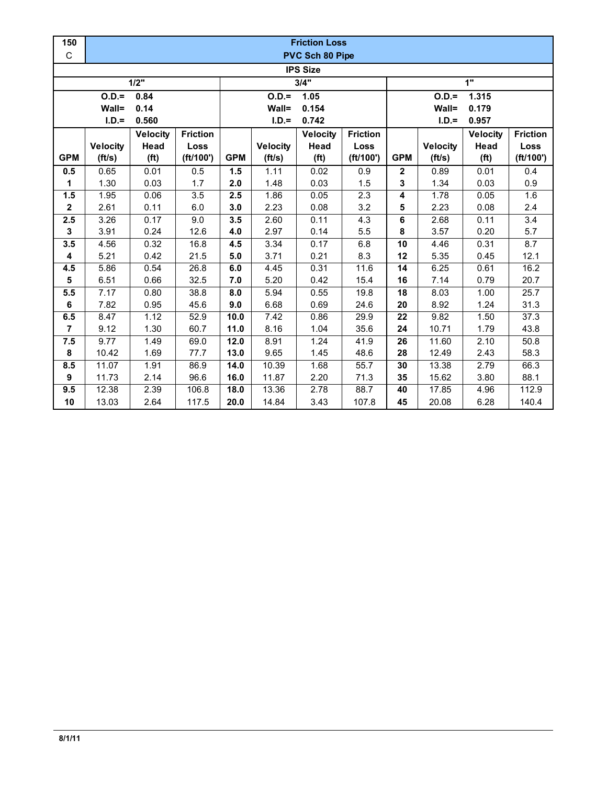| 150             | <b>Friction Loss</b> |                   |                 |                 |                 |                   |                 |                  |                 |                   |                  |  |  |
|-----------------|----------------------|-------------------|-----------------|-----------------|-----------------|-------------------|-----------------|------------------|-----------------|-------------------|------------------|--|--|
| $\mathsf C$     | PVC Sch 80 Pipe      |                   |                 |                 |                 |                   |                 |                  |                 |                   |                  |  |  |
| <b>IPS Size</b> |                      |                   |                 |                 |                 |                   |                 |                  |                 |                   |                  |  |  |
|                 | 3/4"<br>1"<br>1/2"   |                   |                 |                 |                 |                   |                 |                  |                 |                   |                  |  |  |
|                 | $O.D. =$             | 0.84              |                 | $O.D.=$<br>1.05 |                 |                   |                 | $O.D.=$<br>1.315 |                 |                   |                  |  |  |
|                 | Wall=                | 0.14              |                 |                 | Wall=           | 0.154             |                 |                  | Wall=           | 0.179             |                  |  |  |
|                 | $I.D.=$              | 0.560             |                 |                 | $I.D.=$         | 0.742             |                 |                  | $I.D.=$         | 0.957             |                  |  |  |
|                 |                      | <b>Velocity</b>   | <b>Friction</b> |                 |                 | <b>Velocity</b>   | <b>Friction</b> |                  |                 | <b>Velocity</b>   | <b>Friction</b>  |  |  |
|                 | <b>Velocity</b>      | Head              | Loss            |                 | <b>Velocity</b> | Head              | Loss            |                  | <b>Velocity</b> | Head              | Loss             |  |  |
| <b>GPM</b>      | (ft/s)               | (f <sup>t</sup> ) | (ft/100')       | <b>GPM</b>      | (ft/s)          | (f <sup>t</sup> ) | (ft/100')       | <b>GPM</b>       | (ft/s)          | (f <sup>t</sup> ) | (ft/100')        |  |  |
| 0.5             | 0.65                 | 0.01              | 0.5             | 1.5             | 1.11            | 0.02              | 0.9             | $\mathbf 2$      | 0.89            | 0.01              | 0.4              |  |  |
| 1               | 1.30                 | 0.03              | 1.7             | 2.0             | 1.48            | 0.03              | 1.5             | 3                | 1.34            | 0.03              | 0.9              |  |  |
| 1.5             | 1.95                 | 0.06              | 3.5             | 2.5             | 1.86            | 0.05              | 2.3             | 4                | 1.78            | 0.05              | 1.6              |  |  |
| $\mathbf{2}$    | 2.61                 | 0.11              | 6.0             | 3.0             | 2.23            | 0.08              | 3.2             | 5                | 2.23            | 0.08              | 2.4              |  |  |
| 2.5             | 3.26                 | 0.17              | 9.0             | 3.5             | 2.60            | 0.11              | 4.3             | 6                | 2.68            | 0.11              | $\overline{3.4}$ |  |  |
| 3               | 3.91                 | 0.24              | 12.6            | 4.0             | 2.97            | 0.14              | 5.5             | 8                | 3.57            | 0.20              | 5.7              |  |  |
| 3.5             | 4.56                 | 0.32              | 16.8            | 4.5             | 3.34            | 0.17              | 6.8             | $\overline{10}$  | 4.46            | 0.31              | 8.7              |  |  |
| 4               | 5.21                 | 0.42              | 21.5            | 5.0             | 3.71            | 0.21              | 8.3             | 12               | 5.35            | 0.45              | 12.1             |  |  |
| 4.5             | 5.86                 | 0.54              | 26.8            | 6.0             | 4.45            | 0.31              | 11.6            | 14               | 6.25            | 0.61              | 16.2             |  |  |
| 5               | 6.51                 | 0.66              | 32.5            | 7.0             | 5.20            | 0.42              | 15.4            | 16               | 7.14            | 0.79              | 20.7             |  |  |
| 5.5             | 7.17                 | 0.80              | 38.8            | 8.0             | 5.94            | 0.55              | 19.8            | 18               | 8.03            | 1.00              | 25.7             |  |  |
| 6               | 7.82                 | 0.95              | 45.6            | 9.0             | 6.68            | 0.69              | 24.6            | 20               | 8.92            | 1.24              | 31.3             |  |  |
| 6.5             | 8.47                 | 1.12              | 52.9            | 10.0            | 7.42            | 0.86              | 29.9            | 22               | 9.82            | 1.50              | 37.3             |  |  |
| $\overline{7}$  | 9.12                 | 1.30              | 60.7            | 11.0            | 8.16            | 1.04              | 35.6            | 24               | 10.71           | 1.79              | 43.8             |  |  |
| 7.5             | 9.77                 | 1.49              | 69.0            | 12.0            | 8.91            | 1.24              | 41.9            | 26               | 11.60           | 2.10              | 50.8             |  |  |
| 8               | 10.42                | 1.69              | 77.7            | 13.0            | 9.65            | 1.45              | 48.6            | 28               | 12.49           | 2.43              | 58.3             |  |  |
| 8.5             | 11.07                | 1.91              | 86.9            | 14.0            | 10.39           | 1.68              | 55.7            | 30               | 13.38           | 2.79              | 66.3             |  |  |
| 9               | 11.73                | 2.14              | 96.6            | 16.0            | 11.87           | 2.20              | 71.3            | 35               | 15.62           | 3.80              | 88.1             |  |  |
| 9.5             | 12.38                | 2.39              | 106.8           | 18.0            | 13.36           | 2.78              | 88.7            | 40               | 17.85           | 4.96              | 112.9            |  |  |
| 10              | 13.03                | 2.64              | 117.5           | 20.0            | 14.84           | 3.43              | 107.8           | 45               | 20.08           | 6.28              | 140.4            |  |  |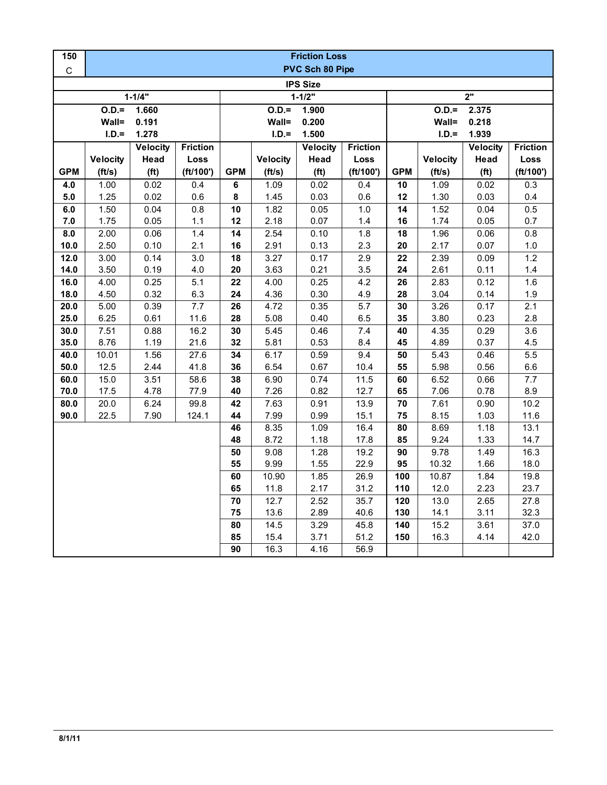| 150             | <b>Friction Loss</b>   |                   |                 |                 |                   |                   |                 |                  |                  |                   |                 |  |
|-----------------|------------------------|-------------------|-----------------|-----------------|-------------------|-------------------|-----------------|------------------|------------------|-------------------|-----------------|--|
| $\mathsf C$     | <b>PVC Sch 80 Pipe</b> |                   |                 |                 |                   |                   |                 |                  |                  |                   |                 |  |
| <b>IPS Size</b> |                        |                   |                 |                 |                   |                   |                 |                  |                  |                   |                 |  |
|                 |                        | $1 - 1/4"$        |                 | $1 - 1/2"$      |                   |                   |                 | $\overline{2}$ " |                  |                   |                 |  |
|                 | $0.D. =$<br>1.660      |                   |                 |                 | $0.D. =$<br>1.900 |                   |                 |                  | $O.D.=$<br>2.375 |                   |                 |  |
|                 | Wall=<br>0.191         |                   |                 |                 | Wall=<br>0.200    |                   |                 |                  | Wall=<br>0.218   |                   |                 |  |
|                 | $I.D.=$                | 1.278             |                 |                 | $I.D.=$           | 1.500             |                 |                  | $I.D.=$<br>1.939 |                   |                 |  |
|                 |                        | Velocity          | <b>Friction</b> |                 |                   | Velocity          | <b>Friction</b> |                  |                  | Velocity          | <b>Friction</b> |  |
|                 | <b>Velocity</b>        | Head              | Loss            |                 | <b>Velocity</b>   | Head              | Loss            |                  | <b>Velocity</b>  | Head              | Loss            |  |
| <b>GPM</b>      | (ft/s)                 | (f <sup>t</sup> ) | (ft/100')       | <b>GPM</b>      | (ft/s)            | (f <sup>t</sup> ) | (ft/100')       | <b>GPM</b>       | (ft/s)           | (f <sup>t</sup> ) | (ft/100')       |  |
| 4.0             | 1.00                   | 0.02              | 0.4             | $\bf 6$         | 1.09              | 0.02              | 0.4             | 10               | 1.09             | 0.02              | 0.3             |  |
| 5.0             | 1.25                   | 0.02              | 0.6             | 8               | 1.45              | 0.03              | 0.6             | 12               | 1.30             | 0.03              | 0.4             |  |
| 6.0             | 1.50                   | 0.04              | 0.8             | 10              | 1.82              | 0.05              | $1.0$           | 14               | 1.52             | 0.04              | 0.5             |  |
| 7.0             | 1.75                   | 0.05              | 1.1             | 12              | 2.18              | 0.07              | 1.4             | 16               | 1.74             | 0.05              | 0.7             |  |
| 8.0             | 2.00                   | 0.06              | 1.4             | 14              | 2.54              | 0.10              | 1.8             | 18               | 1.96             | 0.06              | 0.8             |  |
| 10.0            | 2.50                   | 0.10              | 2.1             | 16              | 2.91              | 0.13              | 2.3             | 20               | 2.17             | 0.07              | 1.0             |  |
| $12.0$          | 3.00                   | 0.14              | 3.0             | 18              | 3.27              | 0.17              | 2.9             | 22               | 2.39             | 0.09              | 1.2             |  |
| 14.0            | 3.50                   | 0.19              | 4.0             | 20              | 3.63              | 0.21              | 3.5             | 24               | 2.61             | 0.11              | 1.4             |  |
| 16.0            | 4.00                   | 0.25              | 5.1             | 22              | 4.00              | 0.25              | 4.2             | 26               | 2.83             | 0.12              | 1.6             |  |
| 18.0            | 4.50                   | 0.32              | 6.3             | 24              | 4.36              | 0.30              | 4.9             | 28               | 3.04             | 0.14              | 1.9             |  |
| 20.0            | 5.00                   | 0.39              | 7.7             | 26              | 4.72              | 0.35              | 5.7             | 30               | 3.26             | 0.17              | 2.1             |  |
| 25.0            | 6.25                   | 0.61              | 11.6            | 28              | 5.08              | 0.40              | 6.5             | 35               | 3.80             | 0.23              | 2.8             |  |
| 30.0            | 7.51                   | 0.88              | 16.2            | 30              | 5.45              | 0.46              | 7.4             | 40               | 4.35             | 0.29              | 3.6             |  |
| 35.0            | 8.76                   | 1.19              | 21.6            | 32              | 5.81              | 0.53              | 8.4             | 45               | 4.89             | 0.37              | 4.5             |  |
| 40.0            | 10.01                  | 1.56              | 27.6            | 34              | 6.17              | 0.59              | 9.4             | 50               | 5.43             | 0.46              | 5.5             |  |
| 50.0            | 12.5                   | 2.44              | 41.8            | 36              | 6.54              | 0.67              | 10.4            | 55               | 5.98             | 0.56              | 6.6             |  |
| 60.0            | 15.0                   | 3.51              | 58.6            | 38              | 6.90              | 0.74              | 11.5            | 60               | 6.52             | 0.66              | 7.7             |  |
| 70.0            | 17.5                   | 4.78              | 77.9            | 40              | 7.26              | 0.82              | 12.7            | 65               | 7.06             | 0.78              | 8.9             |  |
| 80.0            | 20.0                   | 6.24              | 99.8            | 42              | 7.63              | 0.91              | 13.9            | ${\bf 70}$       | 7.61             | 0.90              | 10.2            |  |
| 90.0            | 22.5                   | 7.90              | 124.1           | 44              | 7.99              | 0.99              | 15.1            | 75               | 8.15             | 1.03              | 11.6            |  |
|                 |                        |                   |                 | 46              | 8.35              | 1.09              | 16.4            | 80               | 8.69             | 1.18              | 13.1            |  |
|                 |                        |                   |                 | 48              | 8.72              | 1.18              | 17.8            | 85               | 9.24             | 1.33              | 14.7            |  |
|                 |                        |                   |                 | 50              | 9.08              | 1.28              | 19.2            | 90               | 9.78             | 1.49              | 16.3            |  |
|                 |                        |                   |                 | 55              | 9.99              | 1.55              | 22.9            | 95               | 10.32            | 1.66              | 18.0            |  |
|                 |                        |                   |                 | 60              | 10.90             | 1.85              | 26.9            | 100              | 10.87            | 1.84              | 19.8            |  |
|                 |                        |                   |                 | 65              | 11.8              | 2.17              | 31.2            | 110              | 12.0             | 2.23              | 23.7            |  |
|                 |                        |                   |                 | $70$<br>75      | 12.7<br>13.6      | 2.52<br>2.89      | 35.7<br>40.6    | 120<br>130       | 13.0<br>14.1     | 2.65              | 27.8<br>32.3    |  |
|                 |                        |                   |                 | $\overline{80}$ | 14.5              | 3.29              | 45.8            | 140              | 15.2             | 3.11<br>3.61      | 37.0            |  |
|                 |                        |                   |                 | 85              | 15.4              | 3.71              | 51.2            | 150              | 16.3             | 4.14              | 42.0            |  |
|                 |                        |                   |                 |                 |                   |                   |                 |                  |                  |                   |                 |  |
|                 |                        |                   |                 | 90              | 16.3              | 4.16              | 56.9            |                  |                  |                   |                 |  |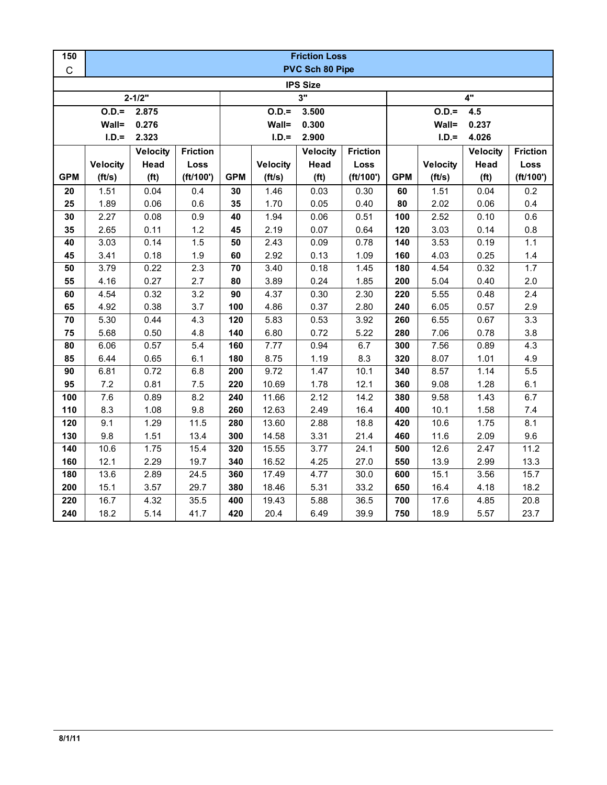| 150         | <b>Friction Loss</b> |                   |                 |            |                 |                   |                 |                |                 |                   |                 |  |  |
|-------------|----------------------|-------------------|-----------------|------------|-----------------|-------------------|-----------------|----------------|-----------------|-------------------|-----------------|--|--|
| $\mathsf C$ | PVC Sch 80 Pipe      |                   |                 |            |                 |                   |                 |                |                 |                   |                 |  |  |
|             | <b>IPS Size</b>      |                   |                 |            |                 |                   |                 |                |                 |                   |                 |  |  |
|             |                      | $2 - 1/2"$        |                 |            | 3"              |                   |                 |                | 4"              |                   |                 |  |  |
|             | $O.D.=$<br>2.875     |                   |                 |            | $O.D.=$         | 3.500             |                 | $O.D.=$<br>4.5 |                 |                   |                 |  |  |
|             | Wall=                | 0.276             |                 |            | Wall=           | 0.300             |                 |                | Wall=           | 0.237             |                 |  |  |
|             | $I.D.=$              | 2.323             |                 |            | $I.D.=$         | 2.900             |                 |                | $I.D.=$         | 4.026             |                 |  |  |
|             |                      | <b>Velocity</b>   | <b>Friction</b> |            |                 | <b>Velocity</b>   | <b>Friction</b> |                |                 | <b>Velocity</b>   | <b>Friction</b> |  |  |
|             | <b>Velocity</b>      | Head              | Loss            |            | <b>Velocity</b> | Head              | Loss            |                | <b>Velocity</b> | Head              | Loss            |  |  |
| <b>GPM</b>  | (ft/s)               | (f <sup>t</sup> ) | (ft/100')       | <b>GPM</b> | (ft/s)          | (f <sup>t</sup> ) | (ft/100')       | <b>GPM</b>     | (ft/s)          | (f <sup>t</sup> ) | (ft/100')       |  |  |
| 20          | 1.51                 | 0.04              | 0.4             | 30         | 1.46            | 0.03              | 0.30            | 60             | 1.51            | 0.04              | 0.2             |  |  |
| 25          | 1.89                 | 0.06              | 0.6             | 35         | 1.70            | 0.05              | 0.40            | 80             | 2.02            | 0.06              | 0.4             |  |  |
| 30          | 2.27                 | 0.08              | 0.9             | 40         | 1.94            | 0.06              | 0.51            | 100            | 2.52            | 0.10              | 0.6             |  |  |
| 35          | 2.65                 | 0.11              | 1.2             | 45         | 2.19            | 0.07              | 0.64            | 120            | 3.03            | 0.14              | 0.8             |  |  |
| 40          | 3.03                 | 0.14              | 1.5             | 50         | 2.43            | 0.09              | 0.78            | 140            | 3.53            | 0.19              | $1.1$           |  |  |
| 45          | 3.41                 | 0.18              | 1.9             | 60         | 2.92            | 0.13              | 1.09            | 160            | 4.03            | 0.25              | 1.4             |  |  |
| 50          | 3.79                 | 0.22              | 2.3             | 70         | 3.40            | 0.18              | 1.45            | 180            | 4.54            | 0.32              | 1.7             |  |  |
| 55          | 4.16                 | 0.27              | 2.7             | 80         | 3.89            | 0.24              | 1.85            | 200            | 5.04            | 0.40              | 2.0             |  |  |
| 60          | 4.54                 | 0.32              | 3.2             | 90         | 4.37            | 0.30              | 2.30            | 220            | 5.55            | 0.48              | 2.4             |  |  |
| 65          | 4.92                 | 0.38              | 3.7             | 100        | 4.86            | 0.37              | 2.80            | 240            | 6.05            | 0.57              | 2.9             |  |  |
| 70          | 5.30                 | 0.44              | 4.3             | 120        | 5.83            | 0.53              | 3.92            | 260            | 6.55            | 0.67              | 3.3             |  |  |
| 75          | 5.68                 | 0.50              | 4.8             | 140        | 6.80            | 0.72              | 5.22            | 280            | 7.06            | 0.78              | 3.8             |  |  |
| 80          | 6.06                 | 0.57              | 5.4             | 160        | 7.77            | 0.94              | 6.7             | 300            | 7.56            | 0.89              | 4.3             |  |  |
| 85          | 6.44                 | 0.65              | 6.1             | 180        | 8.75            | 1.19              | 8.3             | 320            | 8.07            | 1.01              | 4.9             |  |  |
| 90          | 6.81                 | 0.72              | 6.8             | 200        | 9.72            | 1.47              | 10.1            | 340            | 8.57            | 1.14              | $5.5\,$         |  |  |
| 95          | 7.2                  | 0.81              | $7.5\,$         | 220        | 10.69           | 1.78              | 12.1            | 360            | 9.08            | 1.28              | 6.1             |  |  |
| 100         | 7.6                  | 0.89              | 8.2             | 240        | 11.66           | 2.12              | 14.2            | 380            | 9.58            | 1.43              | 6.7             |  |  |
| 110         | 8.3                  | 1.08              | 9.8             | 260        | 12.63           | 2.49              | 16.4            | 400            | 10.1            | 1.58              | $7.4$           |  |  |
| 120         | 9.1                  | 1.29              | 11.5            | 280        | 13.60           | 2.88              | 18.8            | 420            | 10.6            | 1.75              | 8.1             |  |  |
| 130         | 9.8                  | 1.51              | 13.4            | 300        | 14.58           | 3.31              | 21.4            | 460            | 11.6            | 2.09              | 9.6             |  |  |
| 140         | 10.6                 | 1.75              | 15.4            | 320        | 15.55           | 3.77              | 24.1            | 500            | 12.6            | 2.47              | 11.2            |  |  |
| 160         | 12.1                 | 2.29              | 19.7            | 340        | 16.52           | 4.25              | 27.0            | 550            | 13.9            | 2.99              | 13.3            |  |  |
| 180         | 13.6                 | 2.89              | 24.5            | 360        | 17.49           | 4.77              | 30.0            | 600            | 15.1            | 3.56              | 15.7            |  |  |
| 200         | 15.1                 | 3.57              | 29.7            | 380        | 18.46           | 5.31              | 33.2            | 650            | 16.4            | 4.18              | 18.2            |  |  |
| 220         | 16.7                 | 4.32              | 35.5            | 400        | 19.43           | 5.88              | 36.5            | 700            | 17.6            | 4.85              | 20.8            |  |  |
| 240         | 18.2                 | 5.14              | 41.7            | 420        | 20.4            | 6.49              | 39.9            | 750            | 18.9            | 5.57              | 23.7            |  |  |